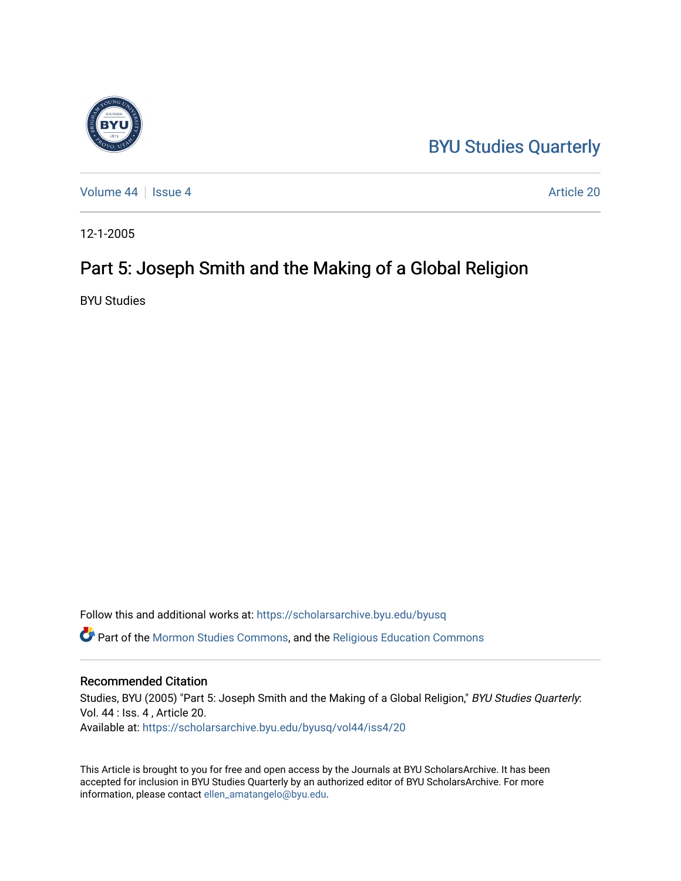### [BYU Studies Quarterly](https://scholarsarchive.byu.edu/byusq)

[Volume 44](https://scholarsarchive.byu.edu/byusq/vol44) | [Issue 4](https://scholarsarchive.byu.edu/byusq/vol44/iss4) Article 20

12-1-2005

## Part 5: Joseph Smith and the Making of a Global Religion

BYU Studies

Follow this and additional works at: [https://scholarsarchive.byu.edu/byusq](https://scholarsarchive.byu.edu/byusq?utm_source=scholarsarchive.byu.edu%2Fbyusq%2Fvol44%2Fiss4%2F20&utm_medium=PDF&utm_campaign=PDFCoverPages) 

Part of the [Mormon Studies Commons](http://network.bepress.com/hgg/discipline/1360?utm_source=scholarsarchive.byu.edu%2Fbyusq%2Fvol44%2Fiss4%2F20&utm_medium=PDF&utm_campaign=PDFCoverPages), and the [Religious Education Commons](http://network.bepress.com/hgg/discipline/1414?utm_source=scholarsarchive.byu.edu%2Fbyusq%2Fvol44%2Fiss4%2F20&utm_medium=PDF&utm_campaign=PDFCoverPages) 

#### Recommended Citation

Studies, BYU (2005) "Part 5: Joseph Smith and the Making of a Global Religion," BYU Studies Quarterly: Vol. 44 : Iss. 4 , Article 20. Available at: [https://scholarsarchive.byu.edu/byusq/vol44/iss4/20](https://scholarsarchive.byu.edu/byusq/vol44/iss4/20?utm_source=scholarsarchive.byu.edu%2Fbyusq%2Fvol44%2Fiss4%2F20&utm_medium=PDF&utm_campaign=PDFCoverPages) 

This Article is brought to you for free and open access by the Journals at BYU ScholarsArchive. It has been accepted for inclusion in BYU Studies Quarterly by an authorized editor of BYU ScholarsArchive. For more information, please contact [ellen\\_amatangelo@byu.edu.](mailto:ellen_amatangelo@byu.edu)